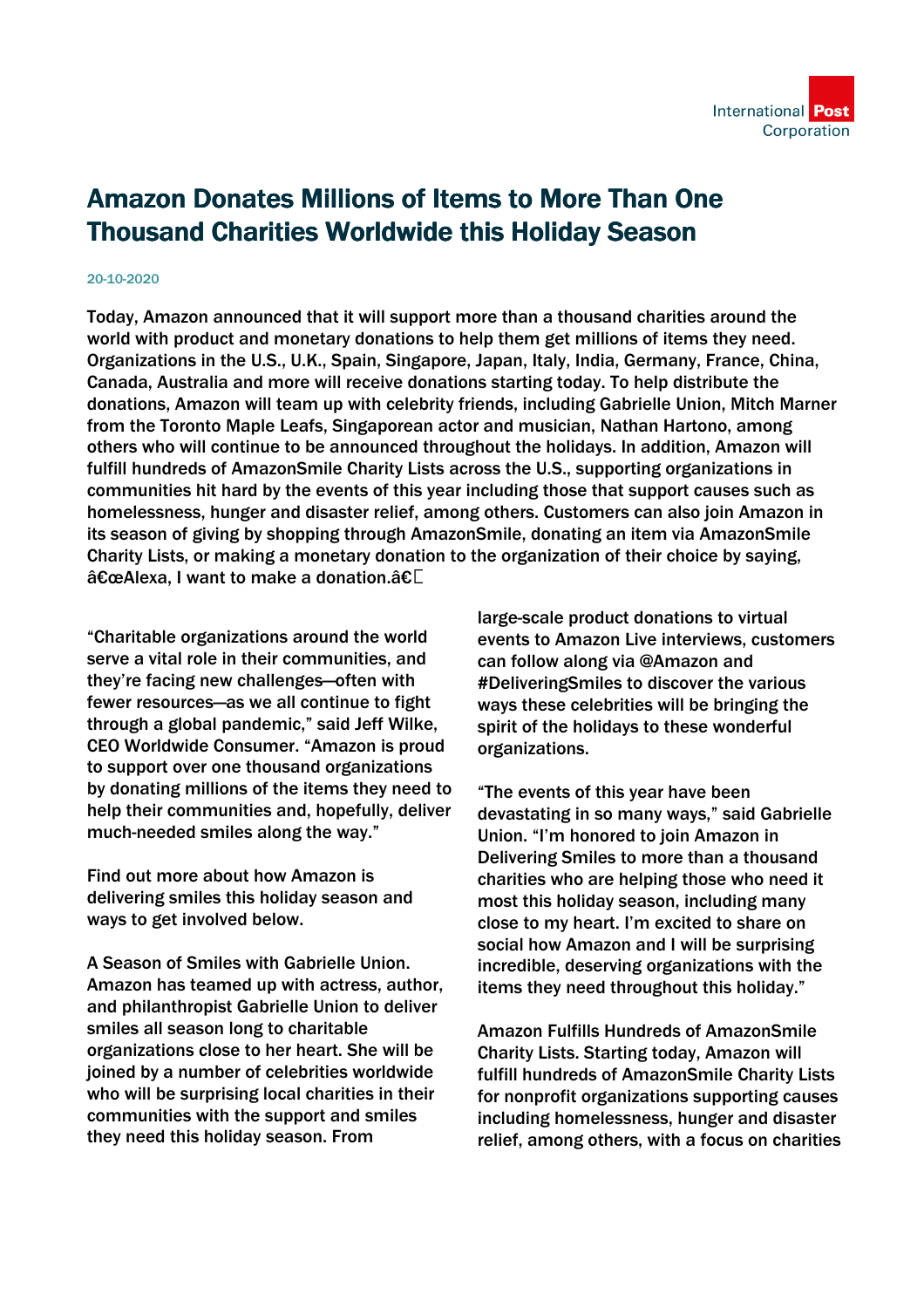

## Amazon Donates Millions of Items to More Than One Thousand Charities Worldwide this Holiday Season

## 20-10-2020

Today, Amazon announced that it will support more than a thousand charities around the world with product and monetary donations to help them get millions of items they need. Organizations in the U.S., U.K., Spain, Singapore, Japan, Italy, India, Germany, France, China, Canada, Australia and more will receive donations starting today. To help distribute the donations, Amazon will team up with celebrity friends, including Gabrielle Union, Mitch Marner from the Toronto Maple Leafs, Singaporean actor and musician, Nathan Hartono, among others who will continue to be announced throughout the holidays. In addition, Amazon will fulfill hundreds of AmazonSmile Charity Lists across the U.S., supporting organizations in communities hit hard by the events of this year including those that support causes such as homelessness, hunger and disaster relief, among others. Customers can also join Amazon in its season of giving by shopping through AmazonSmile, donating an item via AmazonSmile Charity Lists, or making a monetary donation to the organization of their choice by saying,  $\hat{a} \in \mathbb{C}$  alexa. I want to make a donation. $\hat{a} \in \mathbb{C}$ 

"Charitable organizations around the world serve a vital role in their communities, and they're facing new challenges—often with fewer resources—as we all continue to fight through a global pandemic," said Jeff Wilke, CEO Worldwide Consumer. "Amazon is proud to support over one thousand organizations by donating millions of the items they need to help their communities and, hopefully, deliver much-needed smiles along the way."

Find out more about how Amazon is delivering smiles this holiday season and ways to get involved below.

A Season of Smiles with Gabrielle Union. Amazon has teamed up with actress, author, and philanthropist Gabrielle Union to deliver smiles all season long to charitable organizations close to her heart. She will be joined by a number of celebrities worldwide who will be surprising local charities in their communities with the support and smiles they need this holiday season. From

large-scale product donations to virtual events to Amazon Live interviews, customers can follow along via @Amazon and #DeliveringSmiles to discover the various ways these celebrities will be bringing the spirit of the holidays to these wonderful organizations.

"The events of this year have been devastating in so many ways," said Gabrielle Union. "I'm honored to join Amazon in Delivering Smiles to more than a thousand charities who are helping those who need it most this holiday season, including many close to my heart. I'm excited to share on social how Amazon and I will be surprising incredible, deserving organizations with the items they need throughout this holiday."

Amazon Fulfills Hundreds of AmazonSmile Charity Lists. Starting today, Amazon will fulfill hundreds of AmazonSmile Charity Lists for nonprofit organizations supporting causes including homelessness, hunger and disaster relief, among others, with a focus on charities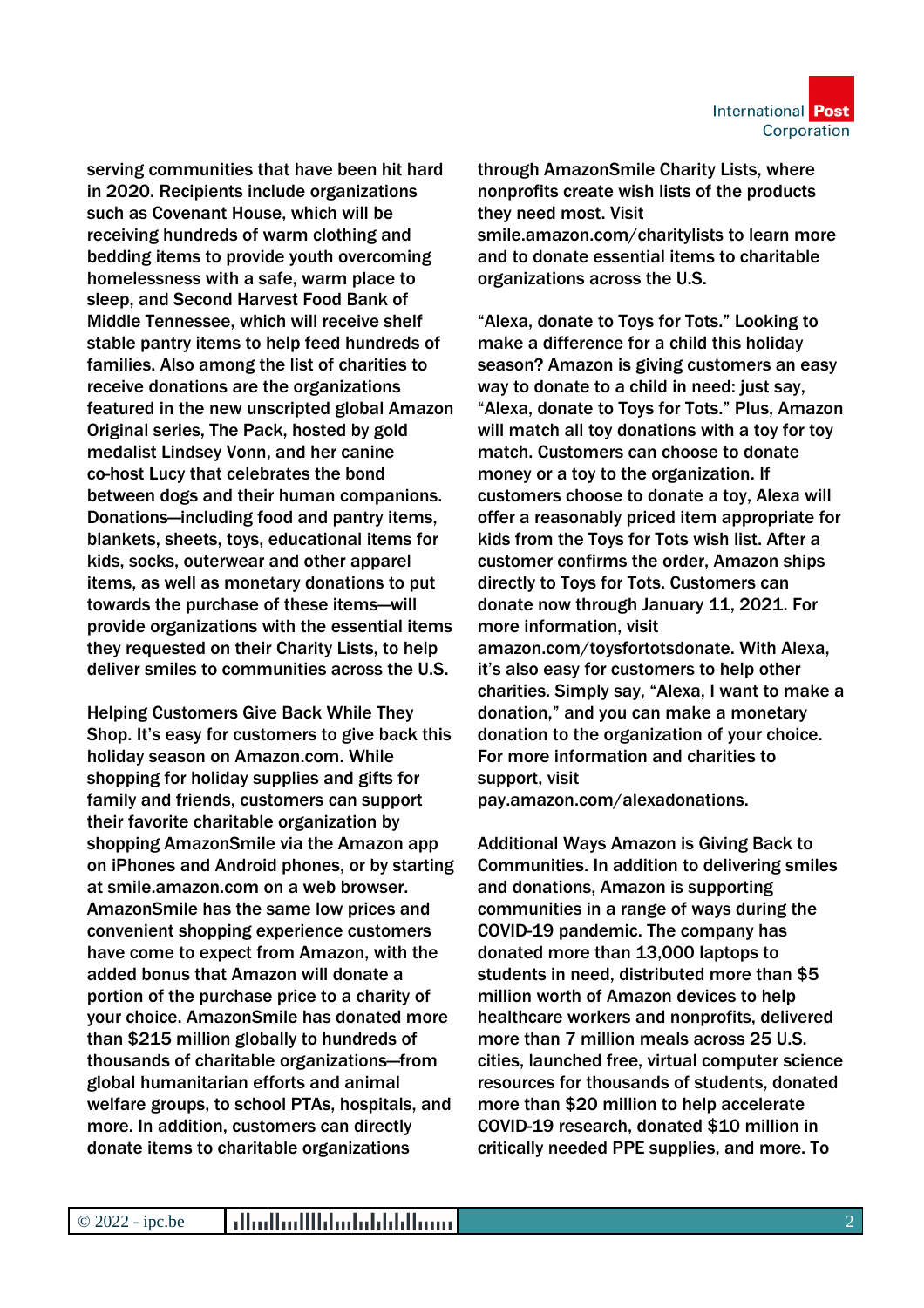

serving communities that have been hit hard in 2020. Recipients include organizations such as Covenant House, which will be receiving hundreds of warm clothing and bedding items to provide youth overcoming homelessness with a safe, warm place to sleep, and Second Harvest Food Bank of Middle Tennessee, which will receive shelf stable pantry items to help feed hundreds of families. Also among the list of charities to receive donations are the organizations featured in the new unscripted global Amazon Original series, The Pack, hosted by gold medalist Lindsey Vonn, and her canine co-host Lucy that celebrates the bond between dogs and their human companions. Donations—including food and pantry items, blankets, sheets, toys, educational items for kids, socks, outerwear and other apparel items, as well as monetary donations to put towards the purchase of these items—will provide organizations with the essential items they requested on their Charity Lists, to help deliver smiles to communities across the U.S.

Helping Customers Give Back While They Shop. It's easy for customers to give back this holiday season on Amazon.com. While shopping for holiday supplies and gifts for family and friends, customers can support their favorite charitable organization by shopping AmazonSmile via the Amazon app on iPhones and Android phones, or by starting at smile.amazon.com on a web browser. AmazonSmile has the same low prices and convenient shopping experience customers have come to expect from Amazon, with the added bonus that Amazon will donate a portion of the purchase price to a charity of your choice. AmazonSmile has donated more than \$215 million globally to hundreds of thousands of charitable organizations—from global humanitarian efforts and animal welfare groups, to school PTAs, hospitals, and more. In addition, customers can directly donate items to charitable organizations

through AmazonSmile Charity Lists, where nonprofits create wish lists of the products they need most. Visit smile.amazon.com/charitylists to learn more and to donate essential items to charitable organizations across the U.S.

"Alexa, donate to Toys for Tots." Looking to make a difference for a child this holiday season? Amazon is giving customers an easy way to donate to a child in need: just say. "Alexa, donate to Toys for Tots." Plus, Amazon will match all toy donations with a toy for toy match. Customers can choose to donate money or a toy to the organization. If customers choose to donate a toy, Alexa will offer a reasonably priced item appropriate for kids from the Toys for Tots wish list. After a customer confirms the order, Amazon ships directly to Toys for Tots. Customers can donate now through January 11, 2021. For more information, visit amazon.com/toysfortotsdonate. With Alexa, it's also easy for customers to help other charities. Simply say, "Alexa, I want to make a donation," and you can make a monetary donation to the organization of your choice.

support, visit pay.amazon.com/alexadonations.

For more information and charities to

Additional Ways Amazon is Giving Back to Communities. In addition to delivering smiles and donations, Amazon is supporting communities in a range of ways during the COVID-19 pandemic. The company has donated more than 13,000 laptops to students in need, distributed more than \$5 million worth of Amazon devices to help healthcare workers and nonprofits, delivered more than 7 million meals across 25 U.S. cities, launched free, virtual computer science resources for thousands of students, donated more than \$20 million to help accelerate COVID-19 research, donated \$10 million in critically needed PPE supplies, and more. To